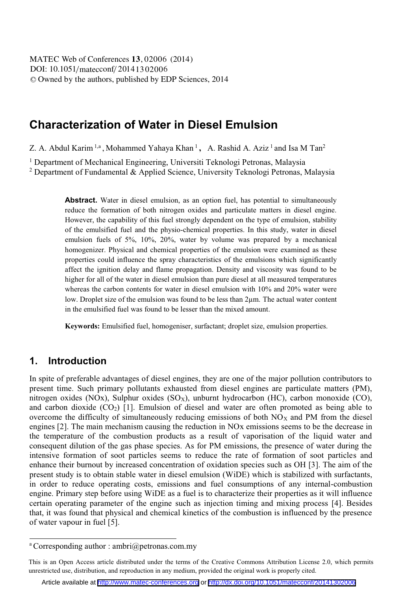DOI: 10.1051/matecconf/20141302006 -<sup>C</sup> Owned by the authors, published by EDP Sciences, 2014 MATEC Web of Conferences 13, 02006 (2014)

# **Characterization of Water in Diesel Emulsion**

Z. A. Abdul Karim <sup>1,a</sup>, Mohammed Yahaya Khan <sup>1</sup>, A. Rashid A. Aziz <sup>1</sup> and Isa M Tan<sup>2</sup>

<sup>1</sup> Department of Mechanical Engineering, Universiti Teknologi Petronas, Malaysia

2 Department of Fundamental & Applied Science, University Teknologi Petronas, Malaysia

Abstract. Water in diesel emulsion, as an option fuel, has potential to simultaneously reduce the formation of both nitrogen oxides and particulate matters in diesel engine. However, the capability of this fuel strongly dependent on the type of emulsion, stability of the emulsified fuel and the physio-chemical properties. In this study, water in diesel emulsion fuels of 5%, 10%, 20%, water by volume was prepared by a mechanical homogenizer. Physical and chemical properties of the emulsion were examined as these properties could influence the spray characteristics of the emulsions which significantly affect the ignition delay and flame propagation. Density and viscosity was found to be higher for all of the water in diesel emulsion than pure diesel at all measured temperatures whereas the carbon contents for water in diesel emulsion with 10% and 20% water were low. Droplet size of the emulsion was found to be less than 2µm. The actual water content in the emulsified fuel was found to be lesser than the mixed amount.

**Keywords:** Emulsified fuel, homogeniser, surfactant; droplet size, emulsion properties.

## **1. Introduction**

In spite of preferable advantages of diesel engines, they are one of the major pollution contributors to present time. Such primary pollutants exhausted from diesel engines are particulate matters (PM), nitrogen oxides (NOx), Sulphur oxides (SO<sub>X</sub>), unburnt hydrocarbon (HC), carbon monoxide (CO), and carbon dioxide  $(CO<sub>2</sub>)$  [1]. Emulsion of diesel and water are often promoted as being able to overcome the difficulty of simultaneously reducing emissions of both  $NO<sub>X</sub>$  and PM from the diesel engines [2]. The main mechanism causing the reduction in NOx emissions seems to be the decrease in the temperature of the combustion products as a result of vaporisation of the liquid water and consequent dilution of the gas phase species. As for PM emissions, the presence of water during the intensive formation of soot particles seems to reduce the rate of formation of soot particles and enhance their burnout by increased concentration of oxidation species such as OH [3]. The aim of the present study is to obtain stable water in diesel emulsion (WiDE) which is stabilized with surfactants, in order to reduce operating costs, emissions and fuel consumptions of any internal-combustion engine. Primary step before using WiDE as a fuel is to characterize their properties as it will influence certain operating parameter of the engine such as injection timing and mixing process [4]. Besides that, it was found that physical and chemical kinetics of the combustion is influenced by the presence of water vapour in fuel [5].

<sup>&</sup>lt;sup>a</sup> Corresponding author : ambri@petronas.com.my

This is an Open Access article distributed under the terms of the Creative Commons Attribution License 2.0, which permits unrestricted use, distribution, and reproduction in any medium, provided the original work is properly cited.

Article available at <http://www.matec-conferences.org> or <http://dx.doi.org/10.1051/matecconf/20141302006>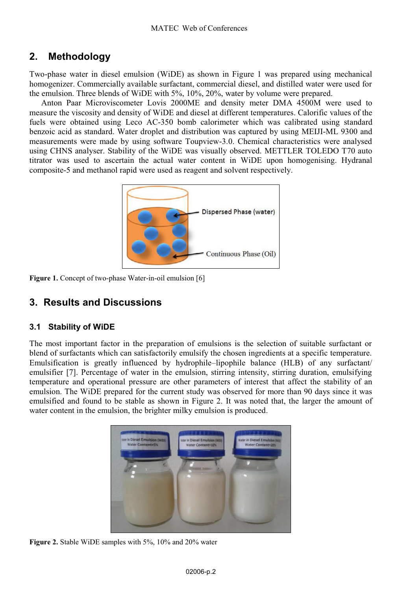# **2. Methodology**

Two-phase water in diesel emulsion (WiDE) as shown in Figure 1 was prepared using mechanical homogenizer. Commercially available surfactant, commercial diesel, and distilled water were used for the emulsion. Three blends of WiDE with 5%, 10%, 20%, water by volume were prepared.

Anton Paar Microviscometer Lovis 2000ME and density meter DMA 4500M were used to measure the viscosity and density of WiDE and diesel at different temperatures. Calorific values of the fuels were obtained using Leco AC-350 bomb calorimeter which was calibrated using standard benzoic acid as standard. Water droplet and distribution was captured by using MEIJI-ML 9300 and measurements were made by using software Toupview-3.0. Chemical characteristics were analysed using CHNS analyser. Stability of the WiDE was visually observed. METTLER TOLEDO T70 auto titrator was used to ascertain the actual water content in WiDE upon homogenising. Hydranal composite-5 and methanol rapid were used as reagent and solvent respectively.



Figure 1. Concept of two-phase Water-in-oil emulsion [6]

## **3. Results and Discussions**

#### **3.1 Stability of WiDE**

The most important factor in the preparation of emulsions is the selection of suitable surfactant or blend of surfactants which can satisfactorily emulsify the chosen ingredients at a specific temperature. Emulsification is greatly influenced by hydrophile–lipophile balance (HLB) of any surfactant/ emulsifier [7]. Percentage of water in the emulsion, stirring intensity, stirring duration, emulsifying temperature and operational pressure are other parameters of interest that affect the stability of an emulsion. The WiDE prepared for the current study was observed for more than 90 days since it was emulsified and found to be stable as shown in Figure 2. It was noted that, the larger the amount of water content in the emulsion, the brighter milky emulsion is produced.



**Figure 2.** Stable WiDE samples with 5%, 10% and 20% water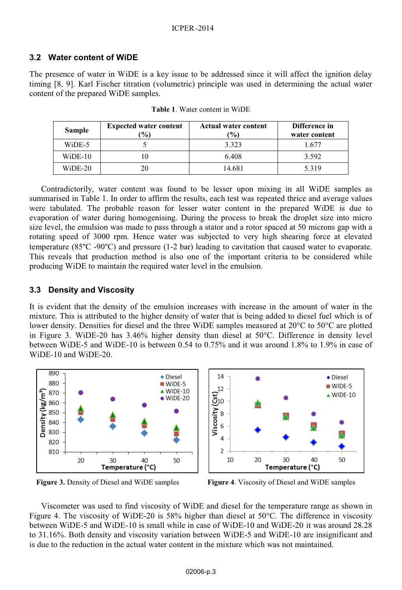#### **3.2 Water content of WiDE**

The presence of water in WiDE is a key issue to be addressed since it will affect the ignition delay timing [8, 9]. Karl Fischer titration (volumetric) principle was used in determining the actual water content of the prepared WiDE samples.

| Sample    | <b>Expected water content</b><br>$\frac{1}{2}$ | <b>Actual water content</b><br>$\frac{1}{2}$ | Difference in<br>water content |
|-----------|------------------------------------------------|----------------------------------------------|--------------------------------|
| WiDE-5    |                                                | 3.323                                        | 1.677                          |
| $WiDE-10$ |                                                | 6.408                                        | 3.592                          |
| $WiDE-20$ | 20                                             | 14.681                                       | 5.319                          |

**Table 1**. Water content in WiDE

Contradictorily, water content was found to be lesser upon mixing in all WiDE samples as summarised in Table 1. In order to affirm the results, each test was repeated thrice and average values were tabulated. The probable reason for lesser water content in the prepared WiDE is due to evaporation of water during homogenising. During the process to break the droplet size into micro size level, the emulsion was made to pass through a stator and a rotor spaced at 50 microns gap with a rotating speed of 3000 rpm. Hence water was subjected to very high shearing force at elevated temperature (85°C -90°C) and pressure (1-2 bar) leading to cavitation that caused water to evaporate. This reveals that production method is also one of the important criteria to be considered while producing WiDE to maintain the required water level in the emulsion.

#### **3.3 Density and Viscosity**

It is evident that the density of the emulsion increases with increase in the amount of water in the mixture. This is attributed to the higher density of water that is being added to diesel fuel which is of lower density. Densities for diesel and the three WiDE samples measured at 20°C to 50°C are plotted in Figure 3. WiDE-20 has 3.46% higher density than diesel at 50°C. Difference in density level between WiDE-5 and WiDE-10 is between 0.54 to 0.75% and it was around 1.8% to 1.9% in case of WiDE-10 and WiDE-20.



**Figure 3.** Density of Diesel and WiDE samples **Figure 4**. Viscosity of Diesel and WiDE samples

Viscometer was used to find viscosity of WiDE and diesel for the temperature range as shown in Figure 4. The viscosity of WiDE-20 is 58% higher than diesel at 50°C. The difference in viscosity between WiDE-5 and WiDE-10 is small while in case of WiDE-10 and WiDE-20 it was around 28.28 to 31.16%. Both density and viscosity variation between WiDE-5 and WiDE-10 are insignificant and is due to the reduction in the actual water content in the mixture which was not maintained.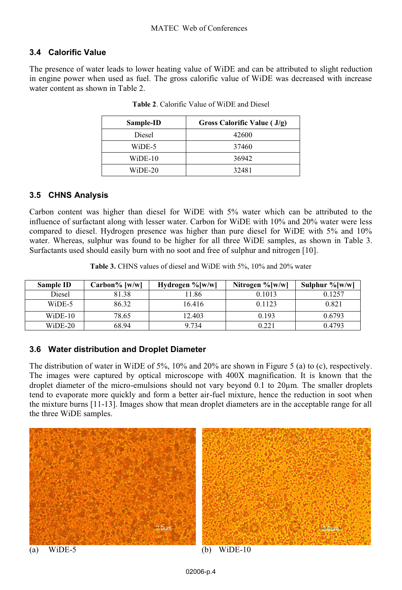## **3.4 Calorific Value**

The presence of water leads to lower heating value of WiDE and can be attributed to slight reduction in engine power when used as fuel. The gross calorific value of WiDE was decreased with increase water content as shown in Table 2.

| Sample-ID | Gross Calorific Value ( J/g) |
|-----------|------------------------------|
| Diesel    | 42600                        |
| WiDE-5    | 37460                        |
| WiDE-10   | 36942                        |
| WiDE-20   | 32481                        |

**Table 2**. Calorific Value of WiDE and Diesel

## **3.5 CHNS Analysis**

Carbon content was higher than diesel for WiDE with 5% water which can be attributed to the influence of surfactant along with lesser water. Carbon for WiDE with 10% and 20% water were less compared to diesel. Hydrogen presence was higher than pure diesel for WiDE with 5% and 10% water. Whereas, sulphur was found to be higher for all three WiDE samples, as shown in Table 3. Surfactants used should easily burn with no soot and free of sulphur and nitrogen [10].

|  |  |  | <b>Table 3.</b> CHNS values of diesel and WiDE with 5%, 10% and 20% water |
|--|--|--|---------------------------------------------------------------------------|
|--|--|--|---------------------------------------------------------------------------|

| Sample ID | Carbon% [w/w] | Hydrogen $\%$ [w/w] | Nitrogen $\%$ [w/w] | Sulphur $\%$ [w/w] |
|-----------|---------------|---------------------|---------------------|--------------------|
| Diesel    | 81.38         | 11.86               | 0.1013              | 0.1257             |
| WiDE-5    | 86.32         | 16.416              | 0.1123              | 0.821              |
| $WiDE-10$ | 78.65         | 12.403              | 0.193               | 0.6793             |
| $WiDE-20$ | 68.94         | 9.734               | 0.221               | 0.4793             |

## **3.6 Water distribution and Droplet Diameter**

The distribution of water in WiDE of 5%, 10% and 20% are shown in Figure 5 (a) to (c), respectively. The images were captured by optical microscope with 400X magnification. It is known that the droplet diameter of the micro-emulsions should not vary beyond 0.1 to 20µm. The smaller droplets tend to evaporate more quickly and form a better air-fuel mixture, hence the reduction in soot when the mixture burns [11-13]. Images show that mean droplet diameters are in the acceptable range for all the three WiDE samples.